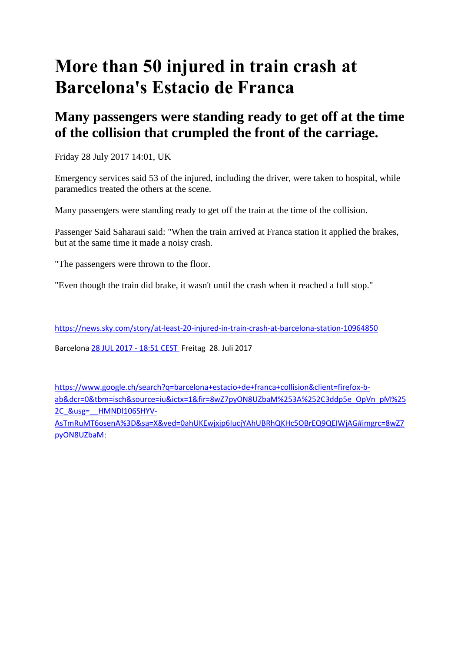## **More than 50 injured in train crash at Barcelona's Estacio de Franca**

## **Many passengers were standing ready to get off at the time of the collision that crumpled the front of the carriage.**

Friday 28 July 2017 14:01, UK

Emergency services said 53 of the injured, including the driver, were taken to hospital, while paramedics treated the others at the scene.

Many passengers were standing ready to get off the train at the time of the collision.

Passenger Said Saharaui said: "When the train arrived at Franca station it applied the brakes, but at the same time it made a noisy crash.

"The passengers were thrown to the floor.

"Even though the train did brake, it wasn't until the crash when it reached a full stop."

<https://news.sky.com/story/at-least-20-injured-in-train-crash-at-barcelona-station-10964850>

Barcelona [28 JUL 2017 -](https://elpais.com/tag/fecha/20170728) 18:51 CEST Freitag 28. Juli 2017

[https://www.google.ch/search?q=barcelona+estacio+de+franca+collision&client=firefox-b](https://www.google.ch/search?q=barcelona+estacio+de+franca+collision&client=firefox-b-ab&dcr=0&tbm=isch&source=iu&ictx=1&fir=8wZ7pyON8UZbaM%253A%252C3ddp5e_OpVn_pM%252C_&usg=__HMNDl106SHYV-AsTmRuMT6osenA%3D&sa=X&ved=0ahUKEwjxjp6IucjYAhUBRhQKHc5OBrEQ9QEIWjAG#imgrc=8wZ7pyON8UZbaM)[ab&dcr=0&tbm=isch&source=iu&ictx=1&fir=8wZ7pyON8UZbaM%253A%252C3ddp5e\\_OpVn\\_pM%25](https://www.google.ch/search?q=barcelona+estacio+de+franca+collision&client=firefox-b-ab&dcr=0&tbm=isch&source=iu&ictx=1&fir=8wZ7pyON8UZbaM%253A%252C3ddp5e_OpVn_pM%252C_&usg=__HMNDl106SHYV-AsTmRuMT6osenA%3D&sa=X&ved=0ahUKEwjxjp6IucjYAhUBRhQKHc5OBrEQ9QEIWjAG#imgrc=8wZ7pyON8UZbaM) 2C\_&usg=\_HMNDl106SHYV-

[AsTmRuMT6osenA%3D&sa=X&ved=0ahUKEwjxjp6IucjYAhUBRhQKHc5OBrEQ9QEIWjAG#imgrc=8wZ7](https://www.google.ch/search?q=barcelona+estacio+de+franca+collision&client=firefox-b-ab&dcr=0&tbm=isch&source=iu&ictx=1&fir=8wZ7pyON8UZbaM%253A%252C3ddp5e_OpVn_pM%252C_&usg=__HMNDl106SHYV-AsTmRuMT6osenA%3D&sa=X&ved=0ahUKEwjxjp6IucjYAhUBRhQKHc5OBrEQ9QEIWjAG#imgrc=8wZ7pyON8UZbaM) [pyON8UZbaM:](https://www.google.ch/search?q=barcelona+estacio+de+franca+collision&client=firefox-b-ab&dcr=0&tbm=isch&source=iu&ictx=1&fir=8wZ7pyON8UZbaM%253A%252C3ddp5e_OpVn_pM%252C_&usg=__HMNDl106SHYV-AsTmRuMT6osenA%3D&sa=X&ved=0ahUKEwjxjp6IucjYAhUBRhQKHc5OBrEQ9QEIWjAG#imgrc=8wZ7pyON8UZbaM)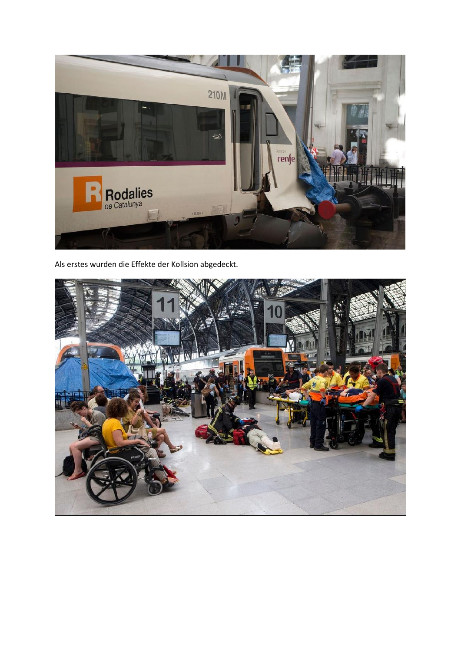

Als erstes wurden die Effekte der Kollsion abgedeckt.

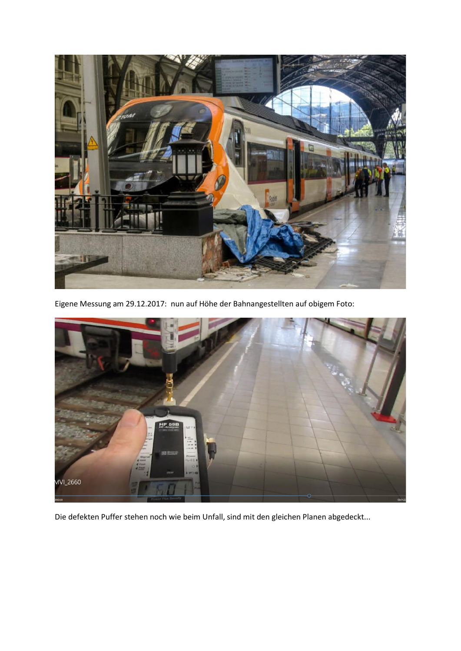

Eigene Messung am 29.12.2017: nun auf Höhe der Bahnangestellten auf obigem Foto:



Die defekten Puffer stehen noch wie beim Unfall, sind mit den gleichen Planen abgedeckt...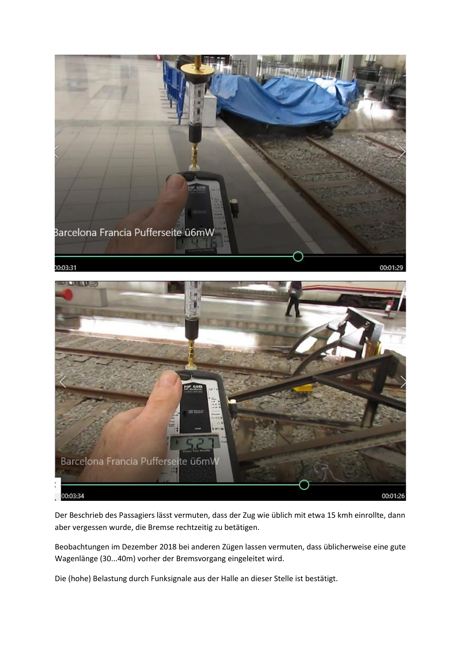



Der Beschrieb des Passagiers lässt vermuten, dass der Zug wie üblich mit etwa 15 kmh einrollte, dann aber vergessen wurde, die Bremse rechtzeitig zu betätigen.

Beobachtungen im Dezember 2018 bei anderen Zügen lassen vermuten, dass üblicherweise eine gute Wagenlänge (30...40m) vorher der Bremsvorgang eingeleitet wird.

Die (hohe) Belastung durch Funksignale aus der Halle an dieser Stelle ist bestätigt.